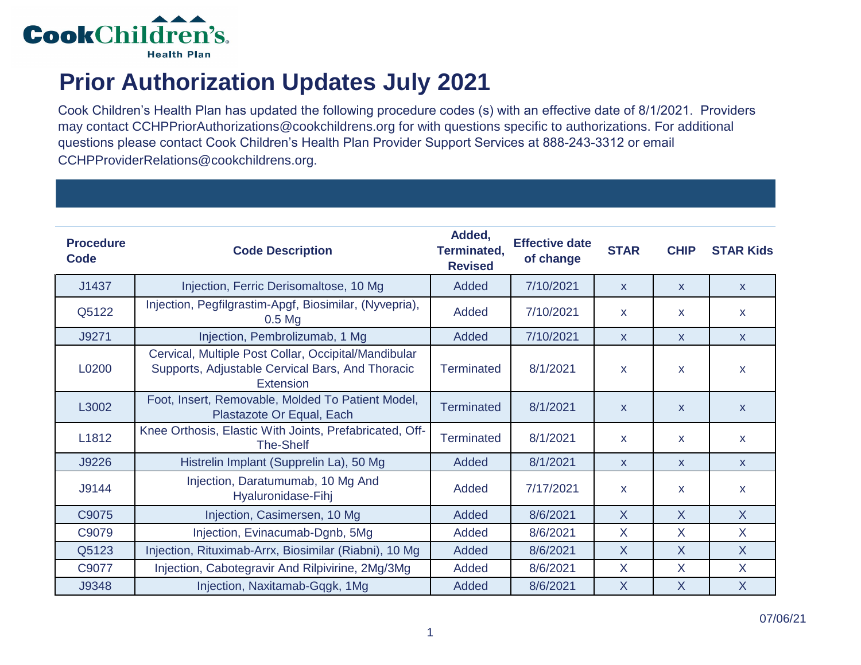

## **Prior Authorization Updates July 2021**

Cook Children's Health Plan has updated the following procedure codes (s) with an effective date of 8/1/2021. Providers may contact CCHPPriorAuthorizations@cookchildrens.org for with questions specific to authorizations. For additional questions please contact Cook Children's Health Plan Provider Support Services at 888-243-3312 or email CCHPProviderRelations@cookchildrens.org.

| <b>Procedure</b><br>Code | <b>Code Description</b>                                                                                               | Added,<br><b>Terminated,</b><br><b>Revised</b> | <b>Effective date</b><br>of change | <b>STAR</b>  | <b>CHIP</b>  | <b>STAR Kids</b>        |
|--------------------------|-----------------------------------------------------------------------------------------------------------------------|------------------------------------------------|------------------------------------|--------------|--------------|-------------------------|
| J1437                    | Injection, Ferric Derisomaltose, 10 Mg                                                                                | Added                                          | 7/10/2021                          | $\mathsf{x}$ | $\mathsf{x}$ | $\mathsf{X}$            |
| Q5122                    | Injection, Pegfilgrastim-Apgf, Biosimilar, (Nyvepria),<br>$0.5$ Mg                                                    | Added                                          | 7/10/2021                          | $\mathbf{x}$ | $\mathsf{x}$ | $\mathsf{x}$            |
| J9271                    | Injection, Pembrolizumab, 1 Mg                                                                                        | Added                                          | 7/10/2021                          | $\mathsf{x}$ | $\mathsf{x}$ | $\mathsf{x}$            |
| L0200                    | Cervical, Multiple Post Collar, Occipital/Mandibular<br>Supports, Adjustable Cervical Bars, And Thoracic<br>Extension | <b>Terminated</b>                              | 8/1/2021                           | X            | $\mathsf{x}$ | $\mathsf{x}$            |
| L3002                    | Foot, Insert, Removable, Molded To Patient Model,<br>Plastazote Or Equal, Each                                        | Terminated                                     | 8/1/2021                           | $\mathsf{x}$ | $\mathsf{x}$ | $\mathsf{x}$            |
| L1812                    | Knee Orthosis, Elastic With Joints, Prefabricated, Off-<br><b>The-Shelf</b>                                           | Terminated                                     | 8/1/2021                           | $\mathbf{x}$ | $\mathsf{x}$ | $\mathbf{x}$            |
| J9226                    | Histrelin Implant (Supprelin La), 50 Mg                                                                               | Added                                          | 8/1/2021                           | $\mathsf{x}$ | $\mathsf{x}$ | $\mathsf{x}$            |
| J9144                    | Injection, Daratumumab, 10 Mg And<br>Hyaluronidase-Fihj                                                               | Added                                          | 7/17/2021                          | X            | X.           | $\mathsf{x}$            |
| C9075                    | Injection, Casimersen, 10 Mg                                                                                          | Added                                          | 8/6/2021                           | $\sf X$      | X            | $\mathsf{X}$            |
| C9079                    | Injection, Evinacumab-Dgnb, 5Mg                                                                                       | Added                                          | 8/6/2021                           | X            | X            | $\sf X$                 |
| Q5123                    | Injection, Rituximab-Arrx, Biosimilar (Riabni), 10 Mg                                                                 | Added                                          | 8/6/2021                           | $\sf X$      | X            | $\sf X$                 |
| C9077                    | Injection, Cabotegravir And Rilpivirine, 2Mg/3Mg                                                                      | Added                                          | 8/6/2021                           | X            | X            | X                       |
| J9348                    | Injection, Naxitamab-Gqgk, 1Mg                                                                                        | Added                                          | 8/6/2021                           | $\sf X$      | X            | $\overline{\mathsf{X}}$ |